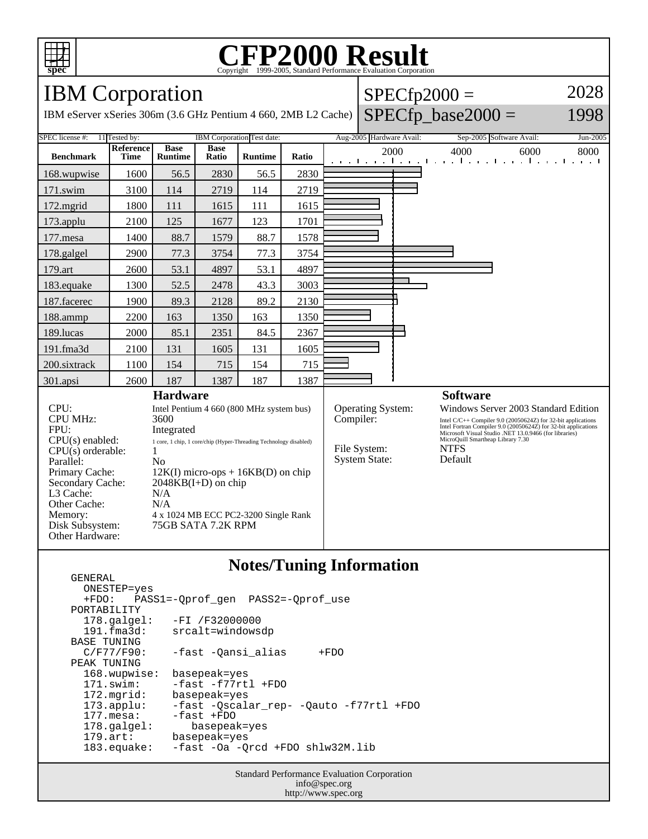

## C<sub>opyright</sub> ©1999-2005, Standard Performance Evaluation Corporation

IBM Corporation

GENERAL

IBM eServer xSeries 306m (3.6 GHz Pentium 4 660, 2MB L2 Cache)

2028

### $SPECfp\_base2000 =$

1998

| SPEC license #:                                                                                                                                                                                                                                                | 11 Tested by:            |                                                            | IBM Corporation Test date: |                                                                                                                                                         |       | Aug-2005 Hardware Avail:                                                      |  | Sep-2005 Software Avail:                                                       |                                                                                                                                                                                                                                  | Jun-2005 |
|----------------------------------------------------------------------------------------------------------------------------------------------------------------------------------------------------------------------------------------------------------------|--------------------------|------------------------------------------------------------|----------------------------|---------------------------------------------------------------------------------------------------------------------------------------------------------|-------|-------------------------------------------------------------------------------|--|--------------------------------------------------------------------------------|----------------------------------------------------------------------------------------------------------------------------------------------------------------------------------------------------------------------------------|----------|
| <b>Benchmark</b>                                                                                                                                                                                                                                               | Reference<br><b>Time</b> | <b>Base</b><br><b>Runtime</b>                              | <b>Base</b><br>Ratio       | <b>Runtime</b>                                                                                                                                          | Ratio | 2000<br>an antara da na tanàna dia mandritra dia Grand del Galeri             |  | 4000                                                                           | 6000                                                                                                                                                                                                                             | 8000     |
| 168.wupwise                                                                                                                                                                                                                                                    | 1600                     | 56.5                                                       | 2830                       | 56.5                                                                                                                                                    | 2830  |                                                                               |  |                                                                                |                                                                                                                                                                                                                                  |          |
| $171$ .swim                                                                                                                                                                                                                                                    | 3100                     | 114                                                        | 2719                       | 114                                                                                                                                                     | 2719  |                                                                               |  |                                                                                |                                                                                                                                                                                                                                  |          |
| $172$ . mgrid                                                                                                                                                                                                                                                  | 1800                     | 111                                                        | 1615                       | 111                                                                                                                                                     | 1615  |                                                                               |  |                                                                                |                                                                                                                                                                                                                                  |          |
| $173$ .applu                                                                                                                                                                                                                                                   | 2100                     | 125                                                        | 1677                       | 123                                                                                                                                                     | 1701  |                                                                               |  |                                                                                |                                                                                                                                                                                                                                  |          |
| $177$ .mesa                                                                                                                                                                                                                                                    | 1400                     | 88.7                                                       | 1579                       | 88.7                                                                                                                                                    | 1578  |                                                                               |  |                                                                                |                                                                                                                                                                                                                                  |          |
| 178.galgel                                                                                                                                                                                                                                                     | 2900                     | 77.3                                                       | 3754                       | 77.3                                                                                                                                                    | 3754  |                                                                               |  |                                                                                |                                                                                                                                                                                                                                  |          |
| 179.art                                                                                                                                                                                                                                                        | 2600                     | 53.1                                                       | 4897                       | 53.1                                                                                                                                                    | 4897  |                                                                               |  |                                                                                |                                                                                                                                                                                                                                  |          |
| 183.equake                                                                                                                                                                                                                                                     | 1300                     | 52.5                                                       | 2478                       | 43.3                                                                                                                                                    | 3003  |                                                                               |  |                                                                                |                                                                                                                                                                                                                                  |          |
| 187.facerec                                                                                                                                                                                                                                                    | 1900                     | 89.3                                                       | 2128                       | 89.2                                                                                                                                                    | 2130  |                                                                               |  |                                                                                |                                                                                                                                                                                                                                  |          |
| 188.ammp                                                                                                                                                                                                                                                       | 2200                     | 163                                                        | 1350                       | 163                                                                                                                                                     | 1350  |                                                                               |  |                                                                                |                                                                                                                                                                                                                                  |          |
| 189.lucas                                                                                                                                                                                                                                                      | 2000                     | 85.1                                                       | 2351                       | 84.5                                                                                                                                                    | 2367  |                                                                               |  |                                                                                |                                                                                                                                                                                                                                  |          |
| 191.fma3d                                                                                                                                                                                                                                                      | 2100                     | 131                                                        | 1605                       | 131                                                                                                                                                     | 1605  |                                                                               |  |                                                                                |                                                                                                                                                                                                                                  |          |
| 200.sixtrack                                                                                                                                                                                                                                                   | 1100                     | 154                                                        | 715                        | 154                                                                                                                                                     | 715   |                                                                               |  |                                                                                |                                                                                                                                                                                                                                  |          |
| 301.apsi                                                                                                                                                                                                                                                       | 2600                     | 187                                                        | 1387                       | 187                                                                                                                                                     | 1387  |                                                                               |  |                                                                                |                                                                                                                                                                                                                                  |          |
| <b>Hardware</b><br>CPU:<br><b>CPU MHz:</b><br>3600<br>FPU:<br>Integrated<br>$CPU(s)$ enabled:<br>CPU(s) orderable:<br>1<br>Parallel:<br>N <sub>0</sub><br>Primary Cache:<br>Secondary Cache:<br>L <sub>3</sub> Cache:<br>N/A<br>Other Cache:<br>N/A<br>Memory: |                          |                                                            | $2048KB(I+D)$ on chip      | Intel Pentium 4 660 (800 MHz system bus)<br>1 core, 1 chip, 1 core/chip (Hyper-Threading Technology disabled)<br>$12K(I)$ micro-ops + $16KB(D)$ on chip |       | <b>Operating System:</b><br>Compiler:<br>File System:<br><b>System State:</b> |  | <b>Software</b><br>MicroQuill Smartheap Library 7.30<br><b>NTFS</b><br>Default | Windows Server 2003 Standard Edition<br>Intel C/C++ Compiler 9.0 (20050624Z) for 32-bit applications<br>Intel Fortran Compiler 9.0 (20050624Z) for 32-bit applications<br>Microsoft Visual Studio .NET 13.0.9466 (for libraries) |          |
| Disk Subsystem:<br>Other Hardware:                                                                                                                                                                                                                             |                          | 4 x 1024 MB ECC PC2-3200 Single Rank<br>75GB SATA 7.2K RPM |                            |                                                                                                                                                         |       |                                                                               |  |                                                                                |                                                                                                                                                                                                                                  |          |

### **Notes/Tuning Information**

 ONESTEP=yes +FDO: PASS1=-Qprof\_gen PASS2=-Qprof\_use PORTABILITY<br>178.galgel: 178.galgel: -FI /F32000000 191.fma3d: srcalt=windowsdp BASE TUNING<br>C/F77/F90: -fast -Qansi\_alias +FDO PEAK TUNING 168.wupwise: basepeak=yes 171.swim: -fast -f77rtl +FDO 172.mgrid: basepeak=yes 173.applu: -fast -Qscalar\_rep- -Qauto -f77rtl +FDO 177.mesa: -fast +FDO<br>178.galgel: basepeak=yes 178.galgel: basepeak=yes 179.art: basepeak=yes 183.equake: -fast -Oa -Qrcd +FDO shlw32M.lib

> Standard Performance Evaluation Corporation info@spec.org http://www.spec.org